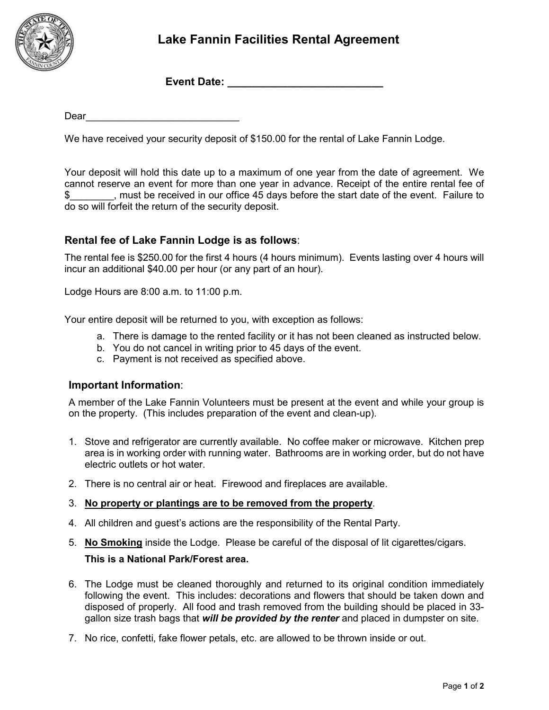

# **Lake Fannin Facilities Rental Agreement**

**Event Date:**  $\blacksquare$ 

 $Dear$  and  $I$  and  $I$  and  $I$  and  $I$  and  $I$  and  $I$  and  $I$  and  $I$  and  $I$  and  $I$  and  $I$  and  $I$  and  $I$  and  $I$  and  $I$  and  $I$  and  $I$  and  $I$  and  $I$  and  $I$  and  $I$  and  $I$  and  $I$  and  $I$  and  $I$  and  $I$  and  $I$ 

We have received your security deposit of \$150.00 for the rental of Lake Fannin Lodge.

Your deposit will hold this date up to a maximum of one year from the date of agreement. We cannot reserve an event for more than one year in advance. Receipt of the entire rental fee of \$\_\_\_\_\_\_\_\_, must be received in our office 45 days before the start date of the event. Failure to do so will forfeit the return of the security deposit.

## **Rental fee of Lake Fannin Lodge is as follows**:

The rental fee is \$250.00 for the first 4 hours (4 hours minimum). Events lasting over 4 hours will incur an additional \$40.00 per hour (or any part of an hour).

Lodge Hours are 8:00 a.m. to 11:00 p.m.

Your entire deposit will be returned to you, with exception as follows:

- a. There is damage to the rented facility or it has not been cleaned as instructed below.
- b. You do not cancel in writing prior to 45 days of the event.
- c. Payment is not received as specified above.

#### **Important Information**:

A member of the Lake Fannin Volunteers must be present at the event and while your group is on the property. (This includes preparation of the event and clean-up).

- 1. Stove and refrigerator are currently available. No coffee maker or microwave. Kitchen prep area is in working order with running water. Bathrooms are in working order, but do not have electric outlets or hot water.
- 2. There is no central air or heat. Firewood and fireplaces are available.

#### 3. **No property or plantings are to be removed from the property**.

- 4. All children and guest's actions are the responsibility of the Rental Party.
- 5. **No Smoking** inside the Lodge. Please be careful of the disposal of lit cigarettes/cigars.

## **This is a National Park/Forest area.**

- 6. The Lodge must be cleaned thoroughly and returned to its original condition immediately following the event. This includes: decorations and flowers that should be taken down and disposed of properly. All food and trash removed from the building should be placed in 33 gallon size trash bags that *will be provided by the renter* and placed in dumpster on site.
- 7. No rice, confetti, fake flower petals, etc. are allowed to be thrown inside or out.